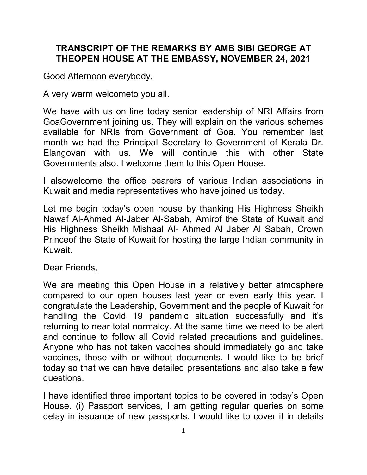## TRANSCRIPT OF THE REMARKS BY AMB SIBI GEORGE AT THEOPEN HOUSE AT THE EMBASSY, NOVEMBER 24, 2021

Good Afternoon everybody,

A very warm welcometo you all.

We have with us on line today senior leadership of NRI Affairs from GoaGovernment joining us. They will explain on the various schemes available for NRIs from Government of Goa. You remember last month we had the Principal Secretary to Government of Kerala Dr. Elangovan with us. We will continue this with other State Governments also. I welcome them to this Open House.

I alsowelcome the office bearers of various Indian associations in Kuwait and media representatives who have joined us today.

Let me begin today's open house by thanking His Highness Sheikh Nawaf Al-Ahmed Al-Jaber Al-Sabah, Amirof the State of Kuwait and His Highness Sheikh Mishaal Al- Ahmed Al Jaber Al Sabah, Crown Princeof the State of Kuwait for hosting the large Indian community in Kuwait.

Dear Friends,

We are meeting this Open House in a relatively better atmosphere compared to our open houses last year or even early this year. I congratulate the Leadership, Government and the people of Kuwait for handling the Covid 19 pandemic situation successfully and it's returning to near total normalcy. At the same time we need to be alert and continue to follow all Covid related precautions and guidelines. Anyone who has not taken vaccines should immediately go and take vaccines, those with or without documents. I would like to be brief today so that we can have detailed presentations and also take a few questions.

I have identified three important topics to be covered in today's Open House. (i) Passport services, I am getting regular queries on some delay in issuance of new passports. I would like to cover it in details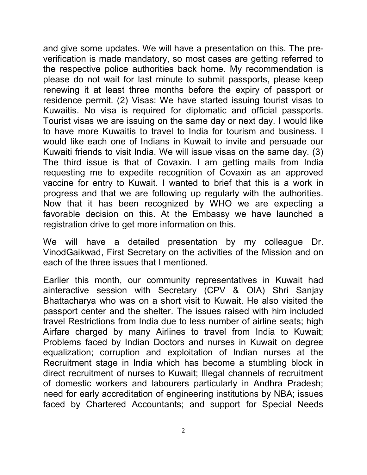and give some updates. We will have a presentation on this. The preverification is made mandatory, so most cases are getting referred to the respective police authorities back home. My recommendation is please do not wait for last minute to submit passports, please keep renewing it at least three months before the expiry of passport or residence permit. (2) Visas: We have started issuing tourist visas to Kuwaitis. No visa is required for diplomatic and official passports. Tourist visas we are issuing on the same day or next day. I would like to have more Kuwaitis to travel to India for tourism and business. I would like each one of Indians in Kuwait to invite and persuade our Kuwaiti friends to visit India. We will issue visas on the same day. (3) The third issue is that of Covaxin. I am getting mails from India requesting me to expedite recognition of Covaxin as an approved vaccine for entry to Kuwait. I wanted to brief that this is a work in progress and that we are following up regularly with the authorities. Now that it has been recognized by WHO we are expecting a favorable decision on this. At the Embassy we have launched a registration drive to get more information on this.

We will have a detailed presentation by my colleague Dr. VinodGaikwad, First Secretary on the activities of the Mission and on each of the three issues that I mentioned.

Earlier this month, our community representatives in Kuwait had ainteractive session with Secretary (CPV & OIA) Shri Sanjay Bhattacharya who was on a short visit to Kuwait. He also visited the passport center and the shelter. The issues raised with him included travel Restrictions from India due to less number of airline seats; high Airfare charged by many Airlines to travel from India to Kuwait; Problems faced by Indian Doctors and nurses in Kuwait on degree equalization; corruption and exploitation of Indian nurses at the Recruitment stage in India which has become a stumbling block in direct recruitment of nurses to Kuwait; Illegal channels of recruitment of domestic workers and labourers particularly in Andhra Pradesh; need for early accreditation of engineering institutions by NBA; issues faced by Chartered Accountants; and support for Special Needs